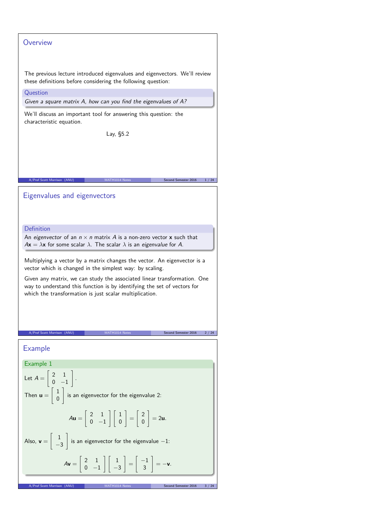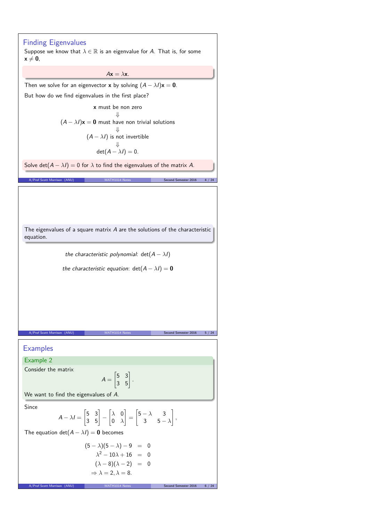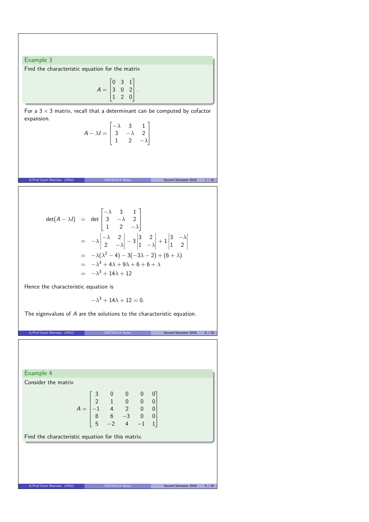## Example 3

Find the characteristic equation for the matrix

$$
A = \begin{bmatrix} 0 & 3 & 1 \\ 3 & 0 & 2 \\ 1 & 2 & 0 \end{bmatrix}.
$$

For a  $3 \times 3$  matrix, recall that a determinant can be computed by cofactor expansion.

| $A - \lambda I = \begin{bmatrix} -\lambda & 3 & 1 \\ 3 & -\lambda & 2 \\ 1 & 2 & -\lambda \end{bmatrix}$ |  |  |
|----------------------------------------------------------------------------------------------------------|--|--|

A/Prof Scott Morrison (ANU) MATH1014 Notes Second Semester 2016 7 / 24

$$
det(A - \lambda I) = det \begin{bmatrix} -\lambda & 3 & 1 \\ 3 & -\lambda & 2 \\ 1 & 2 & -\lambda \end{bmatrix}
$$
  
=  $-\lambda \begin{vmatrix} -\lambda & 2 \\ 2 & -\lambda \end{vmatrix} - 3 \begin{vmatrix} 3 & 2 \\ 1 & -\lambda \end{vmatrix} + 1 \begin{vmatrix} 3 & -\lambda \\ 1 & 2 \end{vmatrix}$   
=  $-\lambda(\lambda^2 - 4) - 3(-3\lambda - 2) + (6 + \lambda)$   
=  $-\lambda^3 + 4\lambda + 9\lambda + 6 + 6 + \lambda$   
=  $-\lambda^3 + 14\lambda + 12$ 

Hence the characteristic equation is

$$
-\lambda^3+14\lambda+12=0.
$$

The eigenvalues of A are the solutions to the characteristic equation.

A/Prof Scott Morrison (ANU) MATH1014 Notes Second Semester 2016 8 / 24

Example 4

Consider the matrix

$$
A = \begin{bmatrix} 3 & 0 & 0 & 0 & 0 \\ 2 & 1 & 0 & 0 & 0 \\ -1 & 4 & 2 & 0 & 0 \\ 8 & 6 & -3 & 0 & 0 \\ 5 & -2 & 4 & -1 & 1 \end{bmatrix}
$$

Find the characteristic equation for this matrix.

A/Prof Scott Morrison (ANU) MATH1014 Notes Second Semester 2016 9 / 24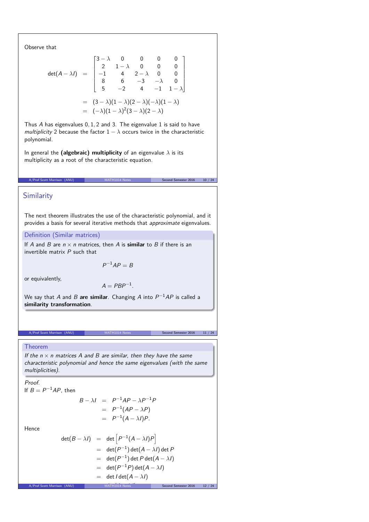Observe that

$$
\det(A - \lambda I) = \begin{bmatrix} 3 - \lambda & 0 & 0 & 0 & 0 \\ 2 & 1 - \lambda & 0 & 0 & 0 \\ -1 & 4 & 2 - \lambda & 0 & 0 \\ 8 & 6 & -3 & -\lambda & 0 \\ 5 & -2 & 4 & -1 & 1 - \lambda \end{bmatrix}
$$

$$
= (3 - \lambda)(1 - \lambda)(2 - \lambda)(-\lambda)(1 - \lambda)
$$

$$
= (-\lambda)(1 - \lambda)^2(3 - \lambda)(2 - \lambda)
$$

Thus A has eigenvalues 0*,* 1*,* 2 and 3. The eigenvalue 1 is said to have multiplicity 2 because the factor  $1 - \lambda$  occurs twice in the characteristic polynomial.

In general the **(algebraic) multiplicity** of an eigenvalue *λ* is its multiplicity as a root of the characteristic equation.

# Similarity

The next theorem illustrates the use of the characteristic polynomial, and it provides a basis for several iterative methods that approximate eigenvalues.

A/Prof Scott Morrison (ANU) MATH1014 Notes Second Semester 2016 10 / 24

### Definition (Similar matrices)

If A and B are  $n \times n$  matrices, then A is **similar** to B if there is an invertible matrix  $P$  such that

$$
P^{-1}AP=B
$$

or equivalently,

$$
A = PBP^{-1}.
$$

We say that  $A$  and  $B$  **are similar**. Changing  $A$  into  $P^{-1}AP$  is called a **similarity transformation**.

# A/Prof Scott Morrison (ANU) MATH1014 Notes Second Semester 2016 11 / 24

#### Theorem

If the  $n \times n$  matrices A and B are similar, then they have the same characteristic polynomial and hence the same eigenvalues (with the same multiplicities).

## Proof.

If  $B = P^{-1}AP$ , then

$$
B - \lambda I = P^{-1}AP - \lambda P^{-1}P
$$
  
= P<sup>-1</sup>(AP - \lambda P)  
= P<sup>-1</sup>(A - \lambda I)P.

Hence

$$
\det(B - \lambda I) = \det \left[ P^{-1}(A - \lambda I)P \right]
$$
  
\n
$$
= \det(P^{-1}) \det(A - \lambda I) \det P
$$
  
\n
$$
= \det(P^{-1}) \det P \det(A - \lambda I)
$$
  
\n
$$
= \det(P^{-1}P) \det(A - \lambda I)
$$
  
\n
$$
= \det I \det(A - \lambda I)
$$
  
\nA/Prot Scott Morrison (ANU)  
\nMATHI014 Notes  
\nSecond Semester 2016 12 / 24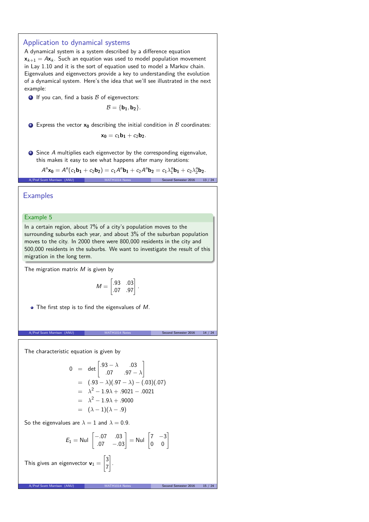# Application to dynamical systems A dynamical system is a system described by a difference equation  $x_{k+1} = Ax_k$ . Such an equation was used to model population movement in Lay 1.10 and it is the sort of equation used to model a Markov chain. Eigenvalues and eigenvectors provide a key to understanding the evolution of a dynamical system. Here's the idea that we'll see illustrated in the next example:  $\bullet$  If you can, find a basis  $\beta$  of eigenvectors:  $B = \{b_1, b_2\}.$ **2** Express the vector  $x_0$  describing the initial condition in  $B$  coordinates:  $x_0 = c_1b_1 + c_2b_2$ . <sup>3</sup> Since A multiplies each eigenvector by the corresponding eigenvalue, this makes it easy to see what happens after many iterations:  $A^{n}$ **x**<sub>0</sub> =  $A^{n}(c_1\mathbf{b}_1 + c_2\mathbf{b}_2) = c_1A^{n}\mathbf{b}_1 + c_2A^{n}\mathbf{b}_2 = c_1\lambda_1^{n}\mathbf{b}_1 + c_2\lambda_2^{n}\mathbf{b}_2.$ ary<br>Prof Scott Morrison (ANU) MATH1014 Notes Second Semester 2016 **Examples**

#### Example 5

In a certain region, about 7% of a city's population moves to the surrounding suburbs each year, and about 3% of the suburban population moves to the city. In 2000 there were 800,000 residents in the city and 500,000 residents in the suburbs. We want to investigate the result of this migration in the long term.

The migration matrix  $M$  is given by

$$
M = \begin{bmatrix} .93 & .03 \\ .07 & .97 \end{bmatrix}.
$$

 $\bullet$  The first step is to find the eigenvalues of M.

A/Prof Scott Morrison (ANU) MATH1014 Notes Second Semester 2016 14 / 24

The characteristic equation is given by

$$
0 = det \begin{bmatrix} .93 - \lambda & .03 \\ .07 & .97 - \lambda \end{bmatrix}
$$
  
=  $(.93 - \lambda)(.97 - \lambda) - (.03)(.07)$   
=  $\lambda^2 - 1.9\lambda + .9021 - .0021$   
=  $\lambda^2 - 1.9\lambda + .9000$   
=  $(\lambda - 1)(\lambda - .9)$ 

So the eigenvalues are  $\lambda = 1$  and  $\lambda = 0.9$ .

$$
E_1 = \text{Nul} \begin{bmatrix} -.07 & .03 \\ .07 & -.03 \end{bmatrix} = \text{Nul} \begin{bmatrix} 7 & -3 \\ 0 & 0 \end{bmatrix}
$$

.

This gives an eigenvector  $v_1 =$  $\lceil 3 \rceil$ 7 1

A/Prof Scott Morrison (ANU) MATH1014 Notes Second Semester 2016 15 / 24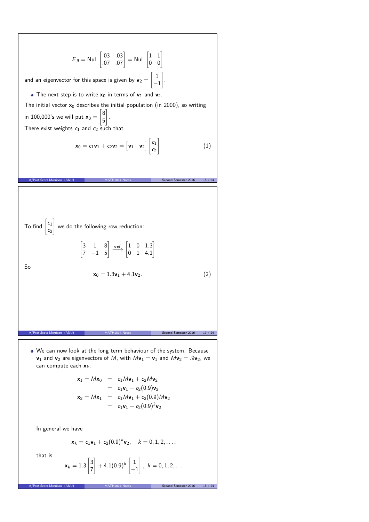$$
E_9 = \text{Nul} \begin{bmatrix} .03 & .03 \\ .07 & .07 \end{bmatrix} = \text{Nul} \begin{bmatrix} 1 & 1 \\ 0 & 0 \end{bmatrix}
$$
  
and an eigenvector for this space is given by  $\mathbf{v}_2 = \begin{bmatrix} 1 \\ -1 \end{bmatrix}$ .  
\n• The next step is to write  $\mathbf{x}_0$  in terms of  $\mathbf{v}_1$  and  $\mathbf{v}_2$ .  
\nThe initial vector  $\mathbf{x}_0$  describes the initial population (in 2000), so writing  
\nin 100,000's we will put  $\mathbf{x}_0 = \begin{bmatrix} 8 \\ 5 \end{bmatrix}$ .  
\nThere exist weights  $c_1$  and  $c_2$  such that  
\n
$$
\mathbf{x}_0 = c_1 \mathbf{v}_1 + c_2 \mathbf{v}_2 = \begin{bmatrix} \mathbf{v}_1 & \mathbf{v}_2 \end{bmatrix} \begin{bmatrix} c_1 \\ c_2 \end{bmatrix}
$$
\n(1)  
\n
$$
\text{A/Post Scott Morrison (ANU)}
$$
\nMATH1014 Notes  
\nSecond Semester 2016 16 / 24  
\nSo  
\n
$$
\mathbf{x}_0 = 1.3\mathbf{v}_1 + 4.1\mathbf{v}_2.
$$
\n(2)  
\n
$$
\mathbf{x}_0 = 1.3\mathbf{v}_1 + 4.1\mathbf{v}_2.
$$
\n(2)

We can now look at the long term behaviour of the system. Because  $\mathsf{v}_1$  and  $\mathsf{v}_2$  are eigenvectors of  $M$ , with  $M\mathsf{v}_1 = \mathsf{v}_1$  and  $M\mathsf{v}_2 = .9\mathsf{v}_2$ , we can compute each  $x_k$ :

$$
\mathbf{x}_1 = M\mathbf{x}_0 = c_1 M\mathbf{v}_1 + c_2 M\mathbf{v}_2
$$
  
=  $c_1 \mathbf{v}_1 + c_2 (0.9) \mathbf{v}_2$   

$$
\mathbf{x}_2 = M\mathbf{x}_1 = c_1 M\mathbf{v}_1 + c_2 (0.9) M\mathbf{v}_2
$$
  
=  $c_1 \mathbf{v}_1 + c_2 (0.9)^2 \mathbf{v}_2$ 

In general we have

$$
\mathbf{x}_k = c_1 \mathbf{v}_1 + c_2 (0.9)^k \mathbf{v}_2, \quad k = 0, 1, 2, \dots,
$$

that is

$$
\mathbf{x}_k = 1.3 \begin{bmatrix} 3 \\ 7 \end{bmatrix} + 4.1(0.9)^k \begin{bmatrix} 1 \\ -1 \end{bmatrix}, \ k = 0, 1, 2, \ldots
$$

A/Prof Scott Morrison (ANU) MATH1014 Notes Second Semester 2016 18 / 24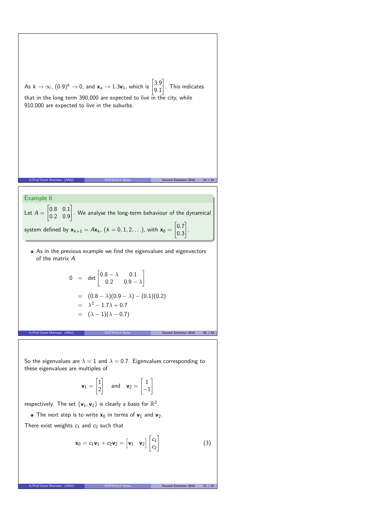As 
$$
k \to \infty
$$
,  $(0.9)^k \to 0$ , and  $\mathbf{x}_k \to 1.3\mathbf{v}_1$ , which is  $\begin{bmatrix} 3.9 \\ 9.1 \end{bmatrix}$ . This indicates  
that in the long term 390,000 are expected to live in the city, while  
910,000 are expected to live in the suburbs.  
  
After of Scott Morrison (ANU)  
  
MATH1014 Neca  
  
  
MTheta 6  
Let  $A = \begin{bmatrix} 0.8 & 0.1 \\ 0.2 & 0.9 \end{bmatrix}$ . We analyse the long-term behaviour of the dynamical  
system defined by  $\mathbf{x}_{k+1} = A\mathbf{x}_k$ ,  $(k = 0, 1, 2, ...)$ , with  $\mathbf{x}_0 = \begin{bmatrix} 0.7 \\ 0.3 \end{bmatrix}$ .  
  
• As in the previous example we find the eigenvalues and eigenvectors  
of the matrix A.  
  

$$
0 = det \begin{bmatrix} 0.8 - \lambda & 0.1 \\ 0.2 & 0.9 - \lambda \end{bmatrix}
$$
  

$$
= (0.8 - \lambda)(0.9 - \lambda) - (0.1)(0.2)
$$
  

$$
= \lambda^2 - 1.7\lambda + 0.7
$$
  

$$
= (\lambda - 1)(\lambda - 0.7)
$$
  
  
Moref Scott Morrison (ANU)  
  
MATH1014 Reca  
  
  
Second Senate 2016  
20.724

So the eigenvalues are  $\lambda = 1$  and  $\lambda = 0.7$ . Eigenvalues corresponding to these eigenvalues are multiples of

$$
\mathbf{v}_1 = \begin{bmatrix} 1 \\ 2 \end{bmatrix} \quad \text{and} \quad \mathbf{v}_2 = \begin{bmatrix} 1 \\ -1 \end{bmatrix}
$$

respectively. The set  $\{v_1, v_2\}$  is clearly a basis for  $\mathbb{R}^2$ .

• The next step is to write  $x_0$  in terms of  $v_1$  and  $v_2$ .

There exist weights  $c_1$  and  $c_2$  such that

$$
\mathbf{x}_0 = c_1 \mathbf{v}_1 + c_2 \mathbf{v}_2 = \begin{bmatrix} \mathbf{v}_1 & \mathbf{v}_2 \end{bmatrix} \begin{bmatrix} c_1 \\ c_2 \end{bmatrix}
$$
 (3)

A/Prof Scott Morrison (ANU) MATH1014 Notes Second Semester 2016 21 / 24